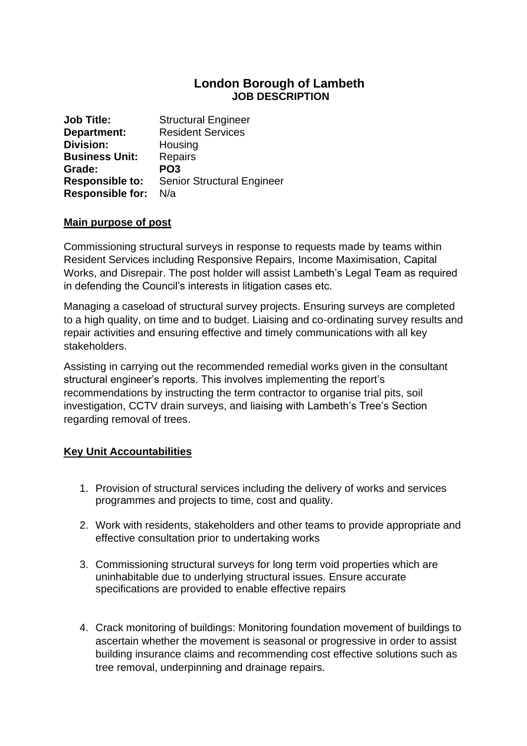## **London Borough of Lambeth JOB DESCRIPTION**

**Job Title:** Structural Engineer **Department:** Resident Services **Division:** Housing **Business Unit:** Repairs **Grade: PO3 Responsible to:** Senior Structural Engineer **Responsible for:** N/a

#### **Main purpose of post**

Commissioning structural surveys in response to requests made by teams within Resident Services including Responsive Repairs, Income Maximisation, Capital Works, and Disrepair. The post holder will assist Lambeth's Legal Team as required in defending the Council's interests in litigation cases etc.

Managing a caseload of structural survey projects. Ensuring surveys are completed to a high quality, on time and to budget. Liaising and co-ordinating survey results and repair activities and ensuring effective and timely communications with all key stakeholders.

Assisting in carrying out the recommended remedial works given in the consultant structural engineer's reports. This involves implementing the report's recommendations by instructing the term contractor to organise trial pits, soil investigation, CCTV drain surveys, and liaising with Lambeth's Tree's Section regarding removal of trees.

#### **Key Unit Accountabilities**

- 1. Provision of structural services including the delivery of works and services programmes and projects to time, cost and quality.
- 2. Work with residents, stakeholders and other teams to provide appropriate and effective consultation prior to undertaking works
- 3. Commissioning structural surveys for long term void properties which are uninhabitable due to underlying structural issues. Ensure accurate specifications are provided to enable effective repairs
- 4. Crack monitoring of buildings: Monitoring foundation movement of buildings to ascertain whether the movement is seasonal or progressive in order to assist building insurance claims and recommending cost effective solutions such as tree removal, underpinning and drainage repairs.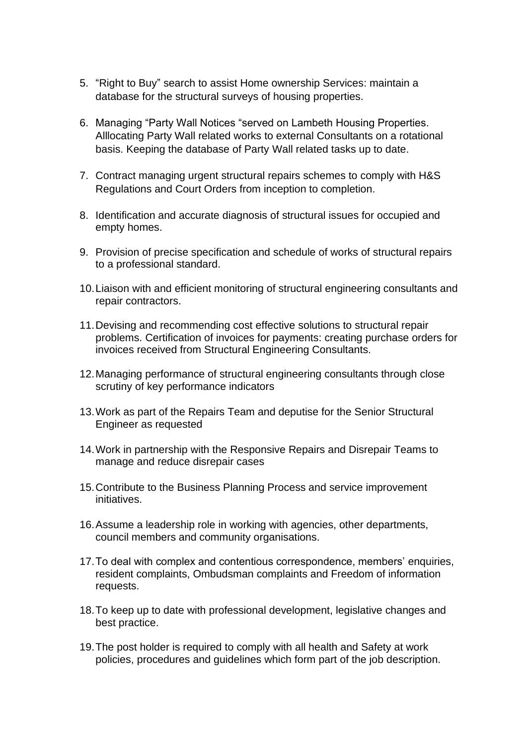- 5. "Right to Buy" search to assist Home ownership Services: maintain a database for the structural surveys of housing properties.
- 6. Managing "Party Wall Notices "served on Lambeth Housing Properties. Alllocating Party Wall related works to external Consultants on a rotational basis. Keeping the database of Party Wall related tasks up to date.
- 7. Contract managing urgent structural repairs schemes to comply with H&S Regulations and Court Orders from inception to completion.
- 8. Identification and accurate diagnosis of structural issues for occupied and empty homes.
- 9. Provision of precise specification and schedule of works of structural repairs to a professional standard.
- 10.Liaison with and efficient monitoring of structural engineering consultants and repair contractors.
- 11.Devising and recommending cost effective solutions to structural repair problems. Certification of invoices for payments: creating purchase orders for invoices received from Structural Engineering Consultants.
- 12.Managing performance of structural engineering consultants through close scrutiny of key performance indicators
- 13.Work as part of the Repairs Team and deputise for the Senior Structural Engineer as requested
- 14.Work in partnership with the Responsive Repairs and Disrepair Teams to manage and reduce disrepair cases
- 15.Contribute to the Business Planning Process and service improvement initiatives.
- 16.Assume a leadership role in working with agencies, other departments, council members and community organisations.
- 17.To deal with complex and contentious correspondence, members' enquiries, resident complaints, Ombudsman complaints and Freedom of information requests.
- 18.To keep up to date with professional development, legislative changes and best practice.
- 19.The post holder is required to comply with all health and Safety at work policies, procedures and guidelines which form part of the job description.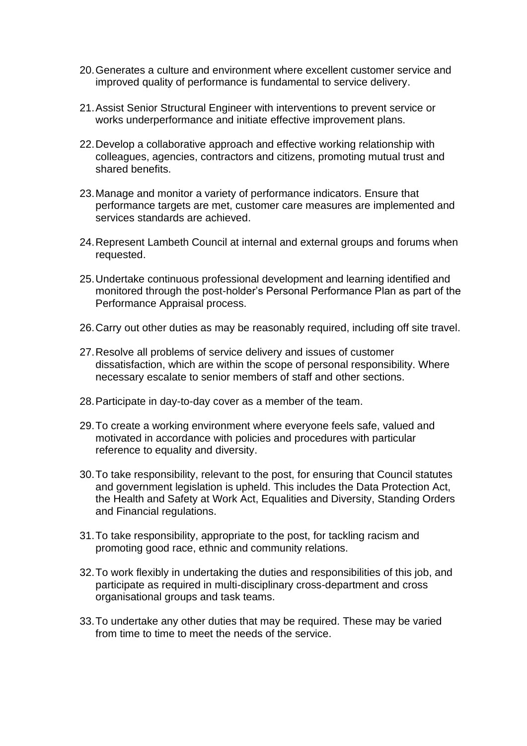- 20.Generates a culture and environment where excellent customer service and improved quality of performance is fundamental to service delivery.
- 21.Assist Senior Structural Engineer with interventions to prevent service or works underperformance and initiate effective improvement plans.
- 22.Develop a collaborative approach and effective working relationship with colleagues, agencies, contractors and citizens, promoting mutual trust and shared benefits.
- 23.Manage and monitor a variety of performance indicators. Ensure that performance targets are met, customer care measures are implemented and services standards are achieved.
- 24.Represent Lambeth Council at internal and external groups and forums when requested.
- 25.Undertake continuous professional development and learning identified and monitored through the post-holder's Personal Performance Plan as part of the Performance Appraisal process.
- 26.Carry out other duties as may be reasonably required, including off site travel.
- 27.Resolve all problems of service delivery and issues of customer dissatisfaction, which are within the scope of personal responsibility. Where necessary escalate to senior members of staff and other sections.
- 28.Participate in day-to-day cover as a member of the team.
- 29.To create a working environment where everyone feels safe, valued and motivated in accordance with policies and procedures with particular reference to equality and diversity.
- 30.To take responsibility, relevant to the post, for ensuring that Council statutes and government legislation is upheld. This includes the Data Protection Act, the Health and Safety at Work Act, Equalities and Diversity, Standing Orders and Financial regulations.
- 31.To take responsibility, appropriate to the post, for tackling racism and promoting good race, ethnic and community relations.
- 32.To work flexibly in undertaking the duties and responsibilities of this job, and participate as required in multi-disciplinary cross-department and cross organisational groups and task teams.
- 33.To undertake any other duties that may be required. These may be varied from time to time to meet the needs of the service.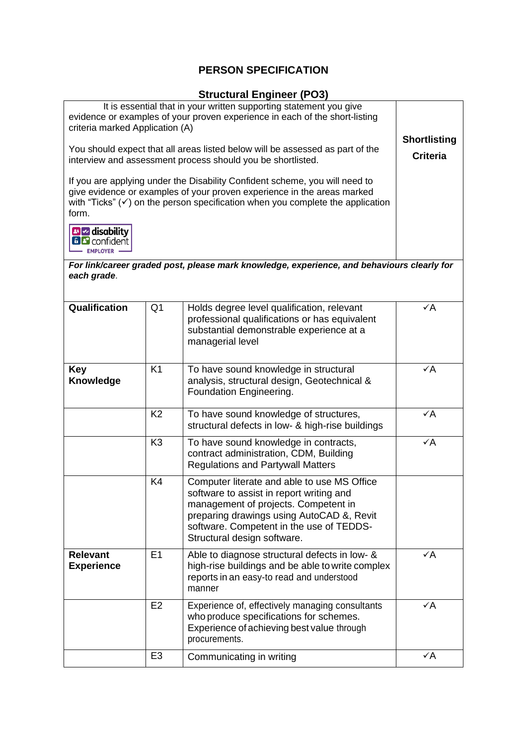# **PERSON SPECIFICATION**

### **Structural Engineer (PO3)**

| It is essential that in your written supporting statement you give<br>evidence or examples of your proven experience in each of the short-listing<br>criteria marked Application (A)<br>You should expect that all areas listed below will be assessed as part of the<br>interview and assessment process should you be shortlisted.<br>If you are applying under the Disability Confident scheme, you will need to<br>give evidence or examples of your proven experience in the areas marked<br>with "Ticks" $(\checkmark)$ on the person specification when you complete the application<br>form.<br><b>B</b> disability<br><b>BB</b> confident<br><b>FMPLOYER</b><br>For link/career graded post, please mark knowledge, experience, and behaviours clearly for<br>each grade. | <b>Shortlisting</b><br><b>Criteria</b> |                                                                                                                                                                                                                                                         |                |
|------------------------------------------------------------------------------------------------------------------------------------------------------------------------------------------------------------------------------------------------------------------------------------------------------------------------------------------------------------------------------------------------------------------------------------------------------------------------------------------------------------------------------------------------------------------------------------------------------------------------------------------------------------------------------------------------------------------------------------------------------------------------------------|----------------------------------------|---------------------------------------------------------------------------------------------------------------------------------------------------------------------------------------------------------------------------------------------------------|----------------|
| Qualification                                                                                                                                                                                                                                                                                                                                                                                                                                                                                                                                                                                                                                                                                                                                                                      | Q <sub>1</sub>                         | Holds degree level qualification, relevant<br>professional qualifications or has equivalent<br>substantial demonstrable experience at a<br>managerial level                                                                                             | $\checkmark$ A |
| <b>Key</b><br><b>Knowledge</b>                                                                                                                                                                                                                                                                                                                                                                                                                                                                                                                                                                                                                                                                                                                                                     | K1                                     | To have sound knowledge in structural<br>analysis, structural design, Geotechnical &<br>Foundation Engineering.                                                                                                                                         | $\checkmark$ A |
|                                                                                                                                                                                                                                                                                                                                                                                                                                                                                                                                                                                                                                                                                                                                                                                    | K <sub>2</sub>                         | To have sound knowledge of structures,<br>structural defects in low- & high-rise buildings                                                                                                                                                              | $\checkmark$ A |
|                                                                                                                                                                                                                                                                                                                                                                                                                                                                                                                                                                                                                                                                                                                                                                                    | K <sub>3</sub>                         | To have sound knowledge in contracts,<br>contract administration, CDM, Building<br><b>Regulations and Partywall Matters</b>                                                                                                                             | $\checkmark$ A |
|                                                                                                                                                                                                                                                                                                                                                                                                                                                                                                                                                                                                                                                                                                                                                                                    | K4                                     | Computer literate and able to use MS Office<br>software to assist in report writing and<br>management of projects. Competent in<br>preparing drawings using AutoCAD &, Revit<br>software. Competent in the use of TEDDS-<br>Structural design software. |                |
| <b>Relevant</b><br><b>Experience</b>                                                                                                                                                                                                                                                                                                                                                                                                                                                                                                                                                                                                                                                                                                                                               | E1                                     | Able to diagnose structural defects in low- &<br>high-rise buildings and be able to write complex<br>reports in an easy-to read and understood<br>manner                                                                                                | $\checkmark$ A |
|                                                                                                                                                                                                                                                                                                                                                                                                                                                                                                                                                                                                                                                                                                                                                                                    | E <sub>2</sub>                         | Experience of, effectively managing consultants<br>who produce specifications for schemes.<br>Experience of achieving best value through<br>procurements.                                                                                               | $\checkmark$ A |
|                                                                                                                                                                                                                                                                                                                                                                                                                                                                                                                                                                                                                                                                                                                                                                                    | E <sub>3</sub>                         | Communicating in writing                                                                                                                                                                                                                                | $\checkmark$ A |